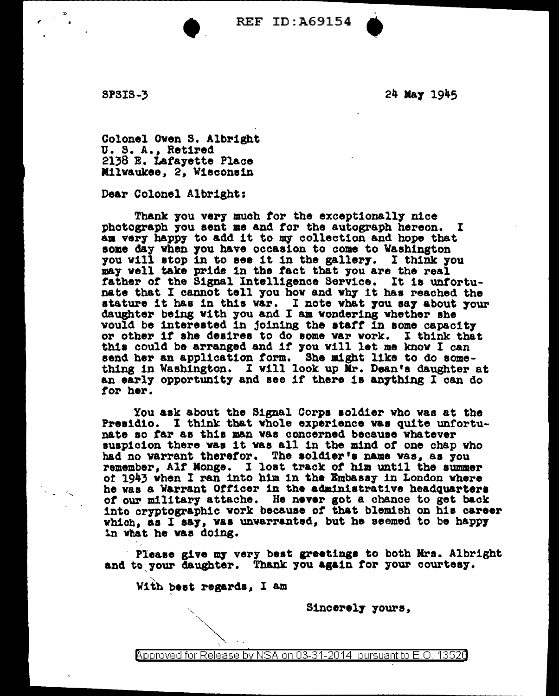REF ID: A69154

SPSIS-3

24 May 1945

`

Colonel Owen S. Albright<br>U. S. A., Retired 2138 E. Lafayette Place Milwaukee, 2, Wisconsin

 $\bullet$ 

Dear Colonel Albright:

Thank you very much for the exceptionally nice photograph 7ou sent me and tor the autograph hereon. I am very happy to add it to my collection and hope that some day when you have occasion to come to Washington you will stop in to see it in the gallery. I think you may well take pride in the fact that you are the real father of the Signal Intelligence Service. It is unfortunate that I cannot tell you how and why it has reached the stature it has in this var. I note what you say about your daughter being with you and I am wondering whether she would be interested in joining the staff in some capacity or other if she deaires to do some var work. I think that this could be arranged and if you will let me know I can send her an application form. She might like to do something in Washington. I will look up Mr. Dean's daughter at an early opportunity and see if there is anything I can do tor her.

You aak about the Signal Corps aold1er who was at the Presidio. I think that whole experience was quite unfortunate ao tar aa thia man vaa concerned becauee vhatever suspicion there was it was all in the mind of one chap who had no warrant therefor. The soldier's name was, as you remember, Alf Monge. I lost track of him until the summer of 1943 when I ran into him in the Embassy in London where he vaa a Warrant Ott1cer in the administrative headquartera of our military attache. He never got a chance to get back into cryptographic work because of that blemish on his career which, as I say, was unvarranted, but he seemed to be happy in what he was doing.

Please give my very best greetings to both Mrs. Albright and to your daughter. Thank you again for your courtesy.

With best regards, I am

S1ncerel7 7ours,

@'pproved for Release by NSA on 03-31-2014 pursuantto E\_O\_ 1352a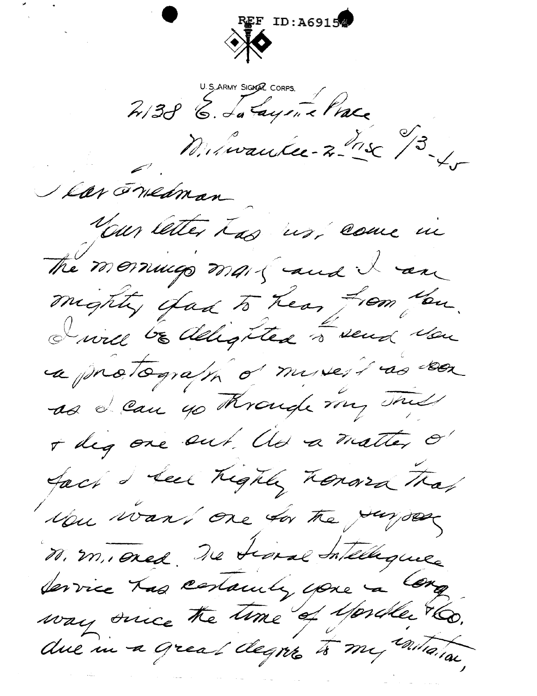ID:A69154 2138 6. La Layen e Prace V Lar Fredman Your letter has us, come in The mornings mail and I am mighty than to hear from You. I will be delighted in send you a protograph of myself as seen as I can go Krough my This + dig one out the a matter of fact I seek highly honored that Mu want one for the Jungor M. m. oned The traval Intellique Service Las centauly youe à Cong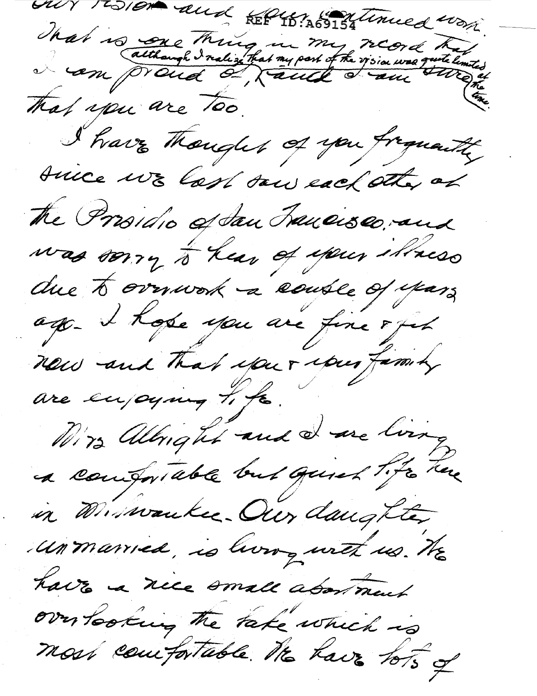our resion and REP461 69154 Uniced work That is one thing in my regid that That you are Too. I have thought of you from the tuice we last saw each sthe of the Prosidio of San Trancisco, and was sorry to hear of your illness due to overwork a course of years ago. I hope you are fine 8 fet new and that your your family are enjoying tife. Mirs allinght and I are living a comportable but quick tite there in Minwaukee. Our daughter unmanied, is living with us. He have a nice small about ment over tooking the take which is most comportable. He have tots of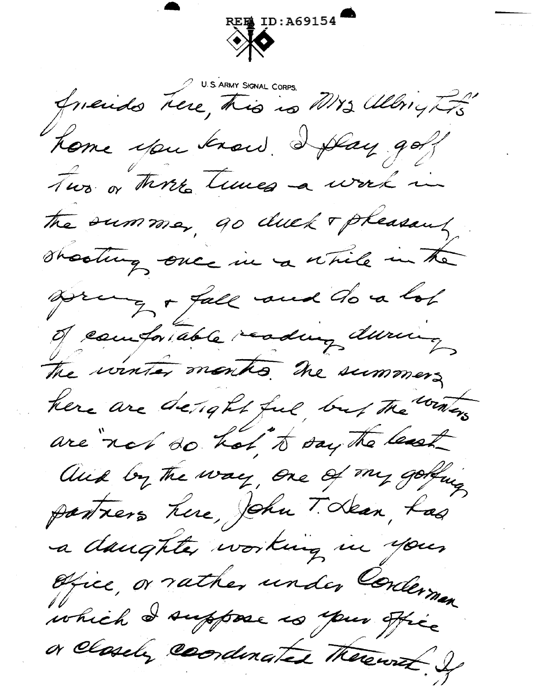

friends here, this is Mrs allington Kome you know. I play go? Two or three times a work in the summer, go duck + pheasant shooting once in a while in the Drug + fall and do a lot of comfortable reading during The winter months. The summers here are desight ful but the winers are not do hot to say the least and by the way, one of my golding partiers here, John T. Lean, Las a daughter working in your Ofice, or rather under Corderman which I suppose is your office or closely coordinated therewish Is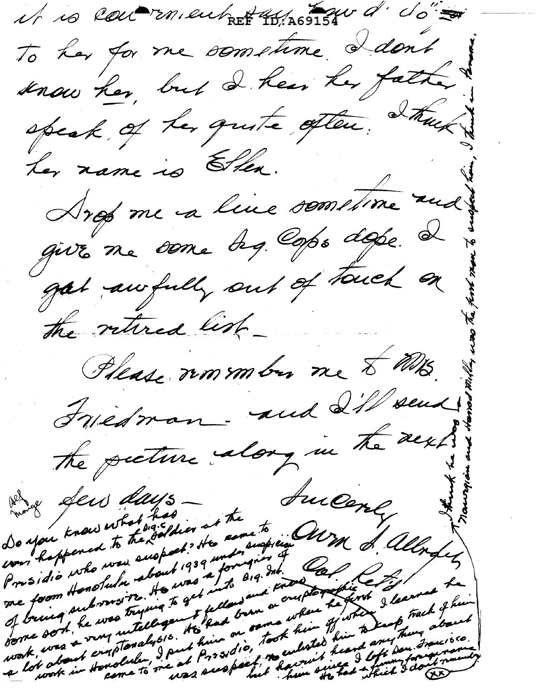it is controllent REF 10, A69154 d' d'en To her for me sometime I dont snow her, but I hear her father speak of tes quite often. Itus ter name is Ellen. Args me a livre somstime and give me some des cops dope. I gat awfully out of touch on the retired list\_ Phease romander me & Mrs. Friedman-and 21/sens the pecture along in the acks Successly Do you know what has not the and days was happened to the common the come to ending and the of alleges of bring on the was trying to get into said kits President Honolulus to was a follow and the first first and the most the means of the way to the way of the the state of the state of the state of the state of the state of the state of the state of the state of the state